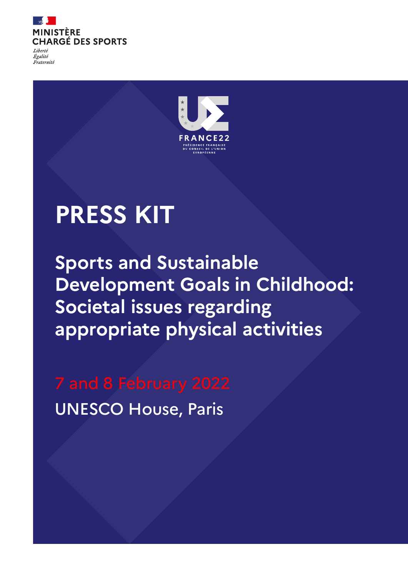

Égalité Fraternité



# **PRESS KIT**

**Sports and Sustainable Development Goals in Childhood: Societal issues regarding appropriate physical activities**

UNESCO House, Paris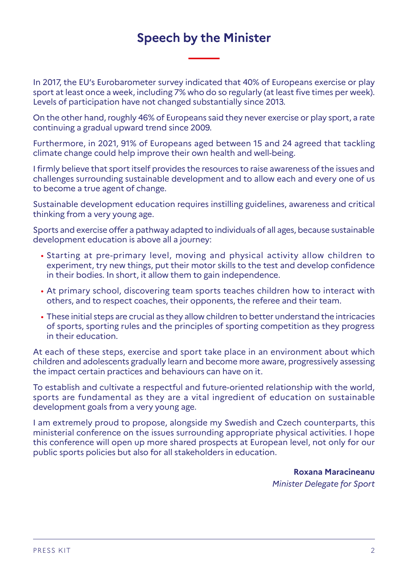## **Speech by the Minister**

In 2017, the EU's Eurobarometer survey indicated that 40% of Europeans exercise or play sport at least once a week, including 7% who do so regularly (at least five times per week). Levels of participation have not changed substantially since 2013.

On the other hand, roughly 46% of Europeans said they never exercise or play sport, a rate continuing a gradual upward trend since 2009.

Furthermore, in 2021, 91% of Europeans aged between 15 and 24 agreed that tackling climate change could help improve their own health and well-being.

I firmly believe that sport itself provides the resources to raise awareness of the issues and challenges surrounding sustainable development and to allow each and every one of us to become a true agent of change.

Sustainable development education requires instilling guidelines, awareness and critical thinking from a very young age.

Sports and exercise offer a pathway adapted to individuals of all ages, because sustainable development education is above all a journey:

- Starting at pre-primary level, moving and physical activity allow children to experiment, try new things, put their motor skills to the test and develop confidence in their bodies. In short, it allow them to gain independence.
- At primary school, discovering team sports teaches children how to interact with others, and to respect coaches, their opponents, the referee and their team.
- These initial steps are crucial as they allow children to better understand the intricacies of sports, sporting rules and the principles of sporting competition as they progress in their education.

At each of these steps, exercise and sport take place in an environment about which children and adolescents gradually learn and become more aware, progressively assessing the impact certain practices and behaviours can have on it.

To establish and cultivate a respectful and future-oriented relationship with the world, sports are fundamental as they are a vital ingredient of education on sustainable development goals from a very young age.

I am extremely proud to propose, alongside my Swedish and Czech counterparts, this ministerial conference on the issues surrounding appropriate physical activities. I hope this conference will open up more shared prospects at European level, not only for our public sports policies but also for all stakeholders in education.

> **Roxana Maracineanu** *Minister Delegate for Sport*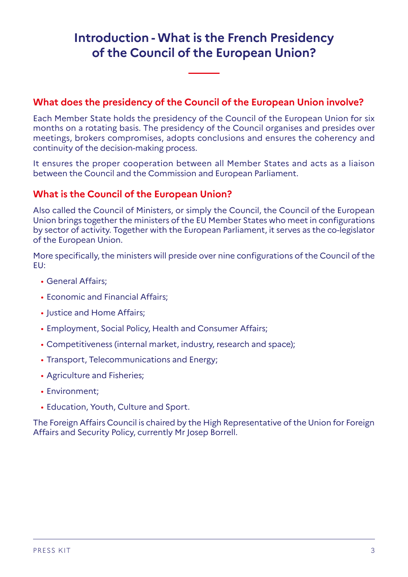## **Introduction - What is the French Presidency of the Council of the European Union?**

### **What does the presidency of the Council of the European Union involve?**

Each Member State holds the presidency of the Council of the European Union for six months on a rotating basis. The presidency of the Council organises and presides over meetings, brokers compromises, adopts conclusions and ensures the coherency and continuity of the decision-making process.

It ensures the proper cooperation between all Member States and acts as a liaison between the Council and the Commission and European Parliament.

### **What is the Council of the European Union?**

Also called the Council of Ministers, or simply the Council, the Council of the European Union brings together the ministers of the EU Member States who meet in configurations by sector of activity. Together with the European Parliament, it serves as the co-legislator of the European Union.

More specifically, the ministers will preside over nine configurations of the Council of the EU:

- General Affairs;
- Economic and Financial Affairs;
- Justice and Home Affairs;
- Employment, Social Policy, Health and Consumer Affairs;
- Competitiveness (internal market, industry, research and space);
- Transport, Telecommunications and Energy;
- Agriculture and Fisheries;
- Environment;
- Education, Youth, Culture and Sport.

The Foreign Affairs Council is chaired by the High Representative of the Union for Foreign Affairs and Security Policy, currently Mr Josep Borrell.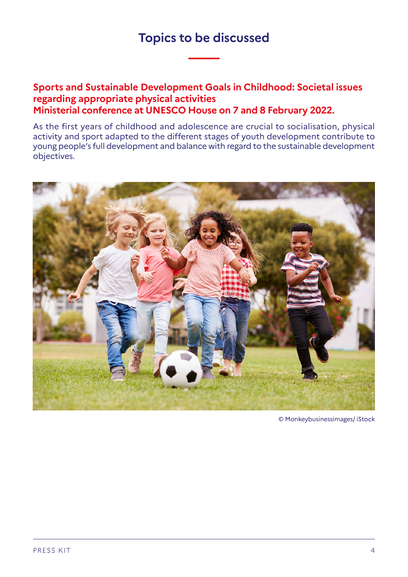### **Topics to be discussed**

### **Sports and Sustainable Development Goals in Childhood: Societal issues regarding appropriate physical activities Ministerial conference at UNESCO House on 7 and 8 February 2022.**

As the first years of childhood and adolescence are crucial to socialisation, physical activity and sport adapted to the different stages of youth development contribute to young people's full development and balance with regard to the sustainable development objectives.



© Monkeybusinessimages/ iStock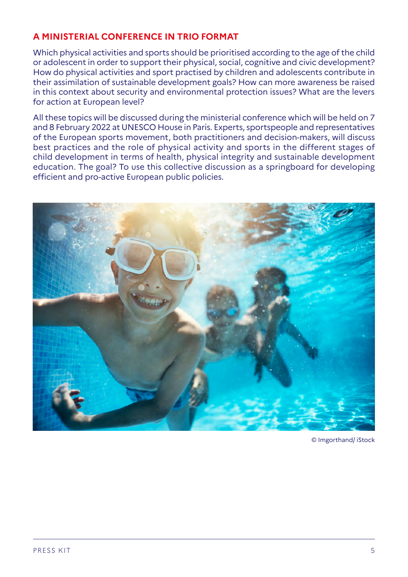### **A MINISTERIAL CONFERENCE IN TRIO FORMAT**

Which physical activities and sports should be prioritised according to the age of the child or adolescent in order to support their physical, social, cognitive and civic development? How do physical activities and sport practised by children and adolescents contribute in their assimilation of sustainable development goals? How can more awareness be raised in this context about security and environmental protection issues? What are the levers for action at European level?

All these topics will be discussed during the ministerial conference which will be held on 7 and 8 February 2022 at UNESCO House in Paris. Experts, sportspeople and representatives of the European sports movement, both practitioners and decision-makers, will discuss best practices and the role of physical activity and sports in the different stages of child development in terms of health, physical integrity and sustainable development education. The goal? To use this collective discussion as a springboard for developing efficient and pro-active European public policies.



© Imgorthand/ iStock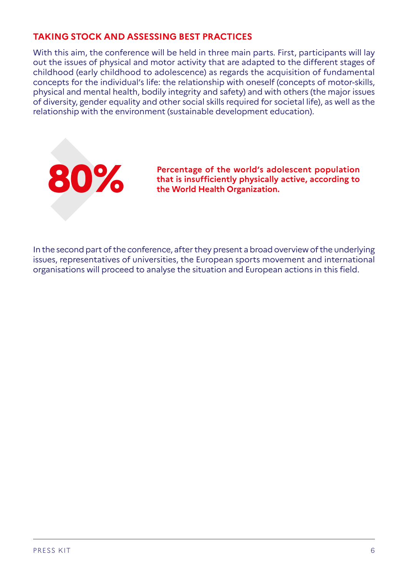#### **TAKING STOCK AND ASSESSING BEST PRACTICES**

With this aim, the conference will be held in three main parts. First, participants will lay out the issues of physical and motor activity that are adapted to the different stages of childhood (early childhood to adolescence) as regards the acquisition of fundamental concepts for the individual's life: the relationship with oneself (concepts of motor-skills, physical and mental health, bodily integrity and safety) and with others (the major issues of diversity, gender equality and other social skills required for societal life), as well as the relationship with the environment (sustainable development education).



**80 <b>Percentage of the world's adolescent population**<br>that is insufficiently physically active, according to<br>the World Health Organization. **that is insufficiently physically active, according to the World Health Organization.**

In the second part of the conference, after they present a broad overview of the underlying issues, representatives of universities, the European sports movement and international organisations will proceed to analyse the situation and European actions in this field.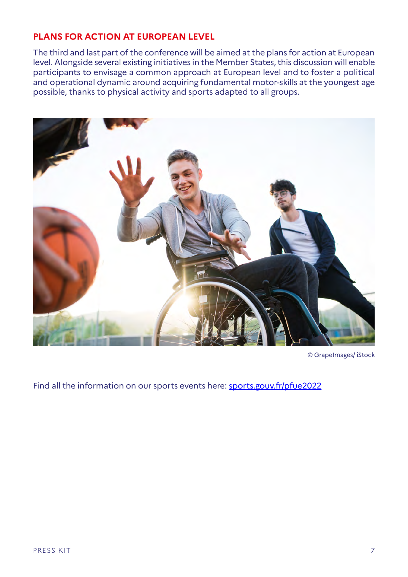#### **PLANS FOR ACTION AT EUROPEAN LEVEL**

The third and last part of the conference will be aimed at the plans for action at European level. Alongside several existing initiatives in the Member States, this discussion will enable participants to envisage a common approach at European level and to foster a political and operational dynamic around acquiring fundamental motor-skills at the youngest age possible, thanks to physical activity and sports adapted to all groups.



© GrapeImages/ iStock

Find all the information on our sports events here: [sports.gouv.fr/pfue2022](https://www.sports.gouv.fr/accueil-du-site/zoom-sur/pfue2022)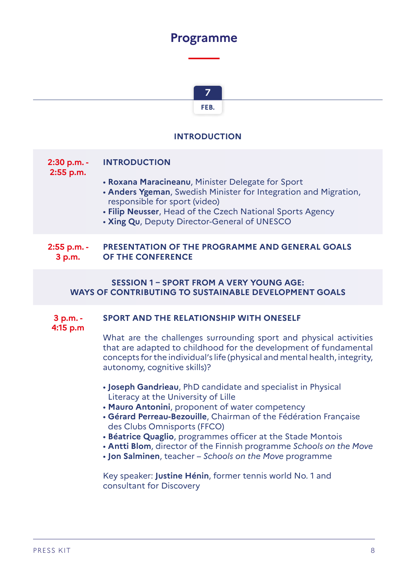### **Programme**



#### **INTRODUCTION**

### **2:30 p.m. - 2:55 p.m. INTRODUCTION** • **Roxana Maracineanu**, Minister Delegate for Sport • **Anders Ygeman**, Swedish Minister for Integration and Migration, responsible for sport (video) • **Filip Neusser**, Head of the Czech National Sports Agency • **Xing Qu**, Deputy Director-General of UNESCO

#### **2:55 p.m. - 3 p.m. PRESENTATION OF THE PROGRAMME AND GENERAL GOALS OF THE CONFERENCE**

#### **SESSION 1 – SPORT FROM A VERY YOUNG AGE: WAYS OF CONTRIBUTING TO SUSTAINABLE DEVELOPMENT GOALS**

#### **3 p.m. - 4:15 p.m SPORT AND THE RELATIONSHIP WITH ONESELF**

What are the challenges surrounding sport and physical activities that are adapted to childhood for the development of fundamental concepts for the individual's life (physical and mental health, integrity, autonomy, cognitive skills)?

- **Joseph Gandrieau**, PhD candidate and specialist in Physical Literacy at the University of Lille
- **Mauro Antonini**, proponent of water competency
- **Gérard Perreau-Bezouille**, Chairman of the Fédération Française des Clubs Omnisports (FFCO)
- **Béatrice Quaglio**, programmes officer at the Stade Montois
- **Antti Blom**, director of the Finnish programme *Schools on the Move*
- **Jon Salminen**, teacher *Schools on the Move* programme

Key speaker: **Justine Hénin**, former tennis world No. 1 and consultant for Discovery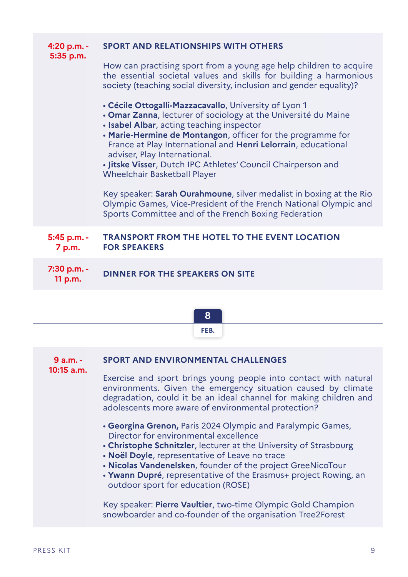| 4:20 p.m. -<br>5:35 p.m. | <b>SPORT AND RELATIONSHIPS WITH OTHERS</b>                                                                                                                                                                                                                                                                                                                                                                                                                                                                                                                                                                                                     |
|--------------------------|------------------------------------------------------------------------------------------------------------------------------------------------------------------------------------------------------------------------------------------------------------------------------------------------------------------------------------------------------------------------------------------------------------------------------------------------------------------------------------------------------------------------------------------------------------------------------------------------------------------------------------------------|
|                          | How can practising sport from a young age help children to acquire<br>the essential societal values and skills for building a harmonious<br>society (teaching social diversity, inclusion and gender equality)?                                                                                                                                                                                                                                                                                                                                                                                                                                |
|                          | • Cécile Ottogalli-Mazzacavallo, University of Lyon 1<br>• Omar Zanna, lecturer of sociology at the Université du Maine<br>• Isabel Albar, acting teaching inspector<br>• Marie-Hermine de Montangon, officer for the programme for<br>France at Play International and Henri Lelorrain, educational<br>adviser, Play International.<br>. Jitske Visser, Dutch IPC Athletes' Council Chairperson and<br><b>Wheelchair Basketball Player</b><br>Key speaker: Sarah Ourahmoune, silver medalist in boxing at the Rio<br>Olympic Games, Vice-President of the French National Olympic and<br>Sports Committee and of the French Boxing Federation |
| 5:45 p.m. -<br>7 p.m.    | <b>TRANSPORT FROM THE HOTEL TO THE EVENT LOCATION</b><br><b>FOR SPEAKERS</b>                                                                                                                                                                                                                                                                                                                                                                                                                                                                                                                                                                   |
| 7:30 p.m. -<br>11 p.m.   | <b>DINNER FOR THE SPEAKERS ON SITE</b>                                                                                                                                                                                                                                                                                                                                                                                                                                                                                                                                                                                                         |

|                           | 8                                                                                                                                                                                                                                                                                                                                                                                                    |
|---------------------------|------------------------------------------------------------------------------------------------------------------------------------------------------------------------------------------------------------------------------------------------------------------------------------------------------------------------------------------------------------------------------------------------------|
|                           | FEB.                                                                                                                                                                                                                                                                                                                                                                                                 |
| $9a.m. -$<br>$10:15$ a.m. | <b>SPORT AND ENVIRONMENTAL CHALLENGES</b>                                                                                                                                                                                                                                                                                                                                                            |
|                           | Exercise and sport brings young people into contact with natural<br>environments. Given the emergency situation caused by climate<br>degradation, could it be an ideal channel for making children and<br>adolescents more aware of environmental protection?                                                                                                                                        |
|                           | • Georgina Grenon, Paris 2024 Olympic and Paralympic Games,<br>Director for environmental excellence<br>. Christophe Schnitzler, lecturer at the University of Strasbourg<br>. Noël Doyle, representative of Leave no trace<br>• Nicolas Vandenelsken, founder of the project GreeNicoTour<br>• Ywann Dupré, representative of the Erasmus+ project Rowing, an<br>outdoor sport for education (ROSE) |
|                           | Key speaker: Pierre Vaultier, two-time Olympic Gold Champion<br>snowboarder and co-founder of the organisation Tree2Forest                                                                                                                                                                                                                                                                           |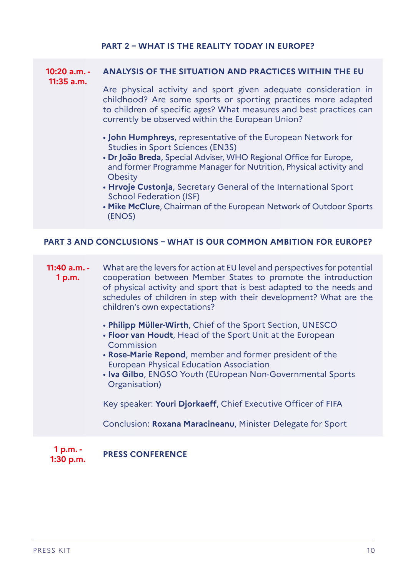### **PART 2 – WHAT IS THE REALITY TODAY IN EUROPE?**

| $10:20$ a.m. -<br>$11:35$ a.m.                                          | <b>ANALYSIS OF THE SITUATION AND PRACTICES WITHIN THE EU</b>                                                                                                                                                                                                                                                                                                                                                                                      |  |
|-------------------------------------------------------------------------|---------------------------------------------------------------------------------------------------------------------------------------------------------------------------------------------------------------------------------------------------------------------------------------------------------------------------------------------------------------------------------------------------------------------------------------------------|--|
|                                                                         | Are physical activity and sport given adequate consideration in<br>childhood? Are some sports or sporting practices more adapted<br>to children of specific ages? What measures and best practices can<br>currently be observed within the European Union?                                                                                                                                                                                        |  |
|                                                                         | . John Humphreys, representative of the European Network for<br><b>Studies in Sport Sciences (EN3S)</b><br>• Dr João Breda, Special Adviser, WHO Regional Office for Europe,<br>and former Programme Manager for Nutrition, Physical activity and<br>Obesity<br>• Hrvoje Custonja, Secretary General of the International Sport<br><b>School Federation (ISF)</b><br>. Mike McClure, Chairman of the European Network of Outdoor Sports<br>(ENOS) |  |
| <b>PART 3 AND CONCLUSIONS - WHAT IS OUR COMMON AMBITION FOR EUROPE?</b> |                                                                                                                                                                                                                                                                                                                                                                                                                                                   |  |
| 11:40 a.m. -<br>1 p.m.                                                  | What are the levers for action at EU level and perspectives for potential<br>cooperation between Member States to promote the introduction<br>of physical activity and sport that is best adapted to the needs and<br>schedules of children in step with their development? What are the<br>children's own expectations?                                                                                                                          |  |
|                                                                         | . Philipp Müller-Wirth, Chief of the Sport Section, UNESCO<br>. Floor van Houdt, Head of the Sport Unit at the European<br>Commission<br>. Rose-Marie Repond, member and former president of the                                                                                                                                                                                                                                                  |  |
|                                                                         | <b>European Physical Education Association</b><br>. Iva Gilbo, ENGSO Youth (EUropean Non-Governmental Sports<br>Organisation)                                                                                                                                                                                                                                                                                                                     |  |
|                                                                         | Key speaker: Youri Djorkaeff, Chief Executive Officer of FIFA                                                                                                                                                                                                                                                                                                                                                                                     |  |
|                                                                         | Conclusion: Roxana Maracineanu, Minister Delegate for Sport                                                                                                                                                                                                                                                                                                                                                                                       |  |
| 1 p.m. -<br>$1:30$ p.m.                                                 | <b>PRESS CONFERENCE</b>                                                                                                                                                                                                                                                                                                                                                                                                                           |  |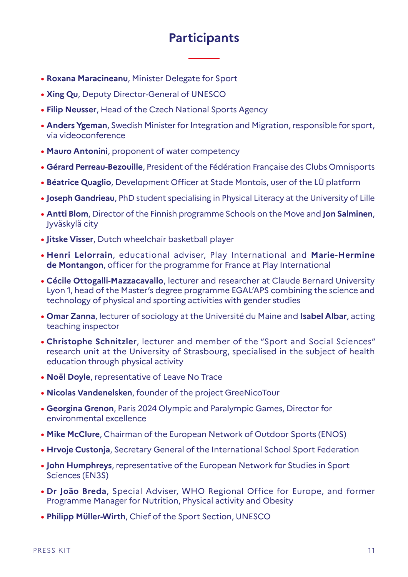# **Participants**

- **• Roxana Maracineanu**, Minister Delegate for Sport
- **• Xing Qu**, Deputy Director-General of UNESCO
- **• Filip Neusser**, Head of the Czech National Sports Agency
- **• Anders Ygeman**, Swedish Minister for Integration and Migration, responsible for sport, via videoconference
- **• Mauro Antonini**, proponent of water competency
- **• Gérard Perreau-Bezouille**, President of the Fédération Française des Clubs Omnisports
- **• Béatrice Quaglio**, Development Officer at Stade Montois, user of the LÜ platform
- **• Joseph Gandrieau**, PhD student specialising in Physical Literacy at the University of Lille
- **• Antti Blom**, Director of the Finnish programme Schools on the Move and **Jon Salminen**, Jyväskylä city
- **• Jitske Visser**, Dutch wheelchair basketball player
- **• Henri Lelorrain**, educational adviser, Play International and **Marie-Hermine de Montangon**, officer for the programme for France at Play International
- **• Cécile Ottogalli-Mazzacavallo**, lecturer and researcher at Claude Bernard University Lyon 1, head of the Master's degree programme EGAL'APS combining the science and technology of physical and sporting activities with gender studies
- **• Omar Zanna**, lecturer of sociology at the Université du Maine and **Isabel Albar**, acting teaching inspector
- **• Christophe Schnitzler**, lecturer and member of the "Sport and Social Sciences" research unit at the University of Strasbourg, specialised in the subject of health education through physical activity
- **• Noël Doyle**, representative of Leave No Trace
- **• Nicolas Vandenelsken**, founder of the project GreeNicoTour
- **• Georgina Grenon**, Paris 2024 Olympic and Paralympic Games, Director for environmental excellence
- **• Mike McClure**, Chairman of the European Network of Outdoor Sports (ENOS)
- **• Hrvoje Custonja**, Secretary General of the International School Sport Federation
- **• John Humphreys**, representative of the European Network for Studies in Sport Sciences (EN3S)
- **• Dr João Breda**, Special Adviser, WHO Regional Office for Europe, and former Programme Manager for Nutrition, Physical activity and Obesity
- **• Philipp Müller-Wirth**, Chief of the Sport Section, UNESCO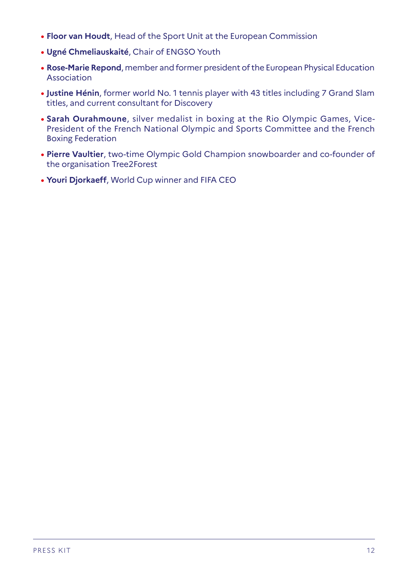- **• Floor van Houdt**, Head of the Sport Unit at the European Commission
- **• Ugné Chmeliauskaité**, Chair of ENGSO Youth
- **• Rose-Marie Repond**, member and former president of the European Physical Education Association
- **• Justine Hénin**, former world No. 1 tennis player with 43 titles including 7 Grand Slam titles, and current consultant for Discovery
- **• Sarah Ourahmoune**, silver medalist in boxing at the Rio Olympic Games, Vice-President of the French National Olympic and Sports Committee and the French Boxing Federation
- **• Pierre Vaultier**, two-time Olympic Gold Champion snowboarder and co-founder of the organisation Tree2Forest
- **• Youri Djorkaeff**, World Cup winner and FIFA CEO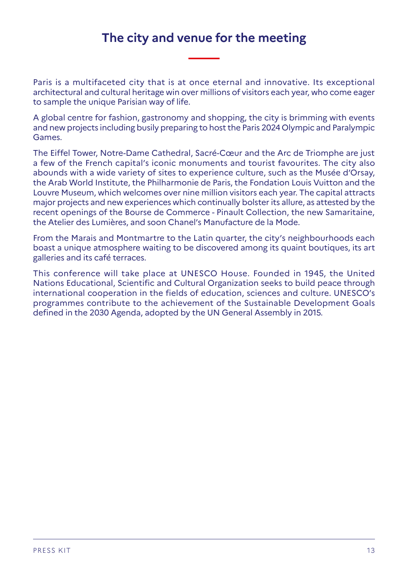## **The city and venue for the meeting**

Paris is a multifaceted city that is at once eternal and innovative. Its exceptional architectural and cultural heritage win over millions of visitors each year, who come eager to sample the unique Parisian way of life.

A global centre for fashion, gastronomy and shopping, the city is brimming with events and new projects including busily preparing to host the Paris 2024 Olympic and Paralympic Games.

The Eiffel Tower, Notre-Dame Cathedral, Sacré-Cœur and the Arc de Triomphe are just a few of the French capital's iconic monuments and tourist favourites. The city also abounds with a wide variety of sites to experience culture, such as the Musée d'Orsay, the Arab World Institute, the Philharmonie de Paris, the Fondation Louis Vuitton and the Louvre Museum, which welcomes over nine million visitors each year. The capital attracts major projects and new experiences which continually bolster its allure, as attested by the recent openings of the Bourse de Commerce - Pinault Collection, the new Samaritaine, the Atelier des Lumières, and soon Chanel's Manufacture de la Mode.

From the Marais and Montmartre to the Latin quarter, the city's neighbourhoods each boast a unique atmosphere waiting to be discovered among its quaint boutiques, its art galleries and its café terraces.

This conference will take place at UNESCO House. Founded in 1945, the United Nations Educational, Scientific and Cultural Organization seeks to build peace through international cooperation in the fields of education, sciences and culture. UNESCO's programmes contribute to the achievement of the Sustainable Development Goals defined in the 2030 Agenda, adopted by the UN General Assembly in 2015.